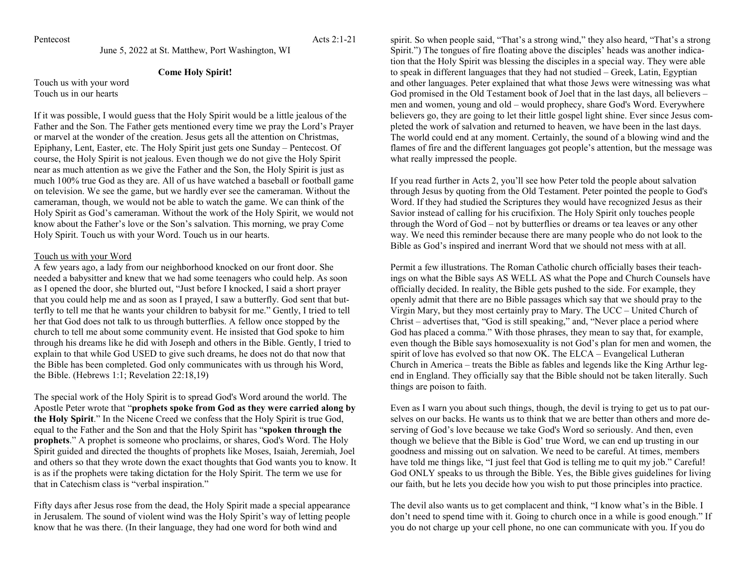Pentecost Acts 2:1-21

June 5, 2022 at St. Matthew, Port Washington, WI

## **Come Holy Spirit!**

Touch us with your word Touch us in our hearts

If it was possible, I would guess that the Holy Spirit would be a little jealous of the Father and the Son. The Father gets mentioned every time we pray the Lord's Prayer or marvel at the wonder of the creation. Jesus gets all the attention on Christmas, Epiphany, Lent, Easter, etc. The Holy Spirit just gets one Sunday – Pentecost. Of course, the Holy Spirit is not jealous. Even though we do not give the Holy Spirit near as much attention as we give the Father and the Son, the Holy Spirit is just as much 100% true God as they are. All of us have watched a baseball or football game on television. We see the game, but we hardly ever see the cameraman. Without the cameraman, though, we would not be able to watch the game. We can think of the Holy Spirit as God's cameraman. Without the work of the Holy Spirit, we would not know about the Father's love or the Son's salvation. This morning, we pray Come Holy Spirit. Touch us with your Word. Touch us in our hearts.

## Touch us with your Word

A few years ago, a lady from our neighborhood knocked on our front door. She needed a babysitter and knew that we had some teenagers who could help. As soon as I opened the door, she blurted out, "Just before I knocked, I said a short prayer that you could help me and as soon as I prayed, I saw a butterfly. God sent that butterfly to tell me that he wants your children to babysit for me." Gently, I tried to tell her that God does not talk to us through butterflies. A fellow once stopped by the church to tell me about some community event. He insisted that God spoke to him through his dreams like he did with Joseph and others in the Bible. Gently, I tried to explain to that while God USED to give such dreams, he does not do that now that the Bible has been completed. God only communicates with us through his Word, the Bible. (Hebrews 1:1; Revelation 22:18,19)

The special work of the Holy Spirit is to spread God's Word around the world. The Apostle Peter wrote that "**prophets spoke from God as they were carried along by the Holy Spirit**." In the Nicene Creed we confess that the Holy Spirit is true God, equal to the Father and the Son and that the Holy Spirit has "**spoken through the prophets**." A prophet is someone who proclaims, or shares, God's Word. The Holy Spirit guided and directed the thoughts of prophets like Moses, Isaiah, Jeremiah, Joel and others so that they wrote down the exact thoughts that God wants you to know. It is as if the prophets were taking dictation for the Holy Spirit. The term we use for that in Catechism class is "verbal inspiration."

Fifty days after Jesus rose from the dead, the Holy Spirit made a special appearance in Jerusalem. The sound of violent wind was the Holy Spirit's way of letting people know that he was there. (In their language, they had one word for both wind and

spirit. So when people said, "That's a strong wind," they also heard, "That's a strong Spirit.") The tongues of fire floating above the disciples' heads was another indication that the Holy Spirit was blessing the disciples in a special way. They were able to speak in different languages that they had not studied – Greek, Latin, Egyptian and other languages. Peter explained that what those Jews were witnessing was what God promised in the Old Testament book of Joel that in the last days, all believers – men and women, young and old – would prophecy, share God's Word. Everywhere believers go, they are going to let their little gospel light shine. Ever since Jesus completed the work of salvation and returned to heaven, we have been in the last days. The world could end at any moment. Certainly, the sound of a blowing wind and the flames of fire and the different languages got people's attention, but the message was what really impressed the people.

If you read further in Acts 2, you'll see how Peter told the people about salvation through Jesus by quoting from the Old Testament. Peter pointed the people to God's Word. If they had studied the Scriptures they would have recognized Jesus as their Savior instead of calling for his crucifixion. The Holy Spirit only touches people through the Word of God – not by butterflies or dreams or tea leaves or any other way. We need this reminder because there are many people who do not look to the Bible as God's inspired and inerrant Word that we should not mess with at all.

Permit a few illustrations. The Roman Catholic church officially bases their teachings on what the Bible says AS WELL AS what the Pope and Church Counsels have officially decided. In reality, the Bible gets pushed to the side. For example, they openly admit that there are no Bible passages which say that we should pray to the Virgin Mary, but they most certainly pray to Mary. The UCC – United Church of Christ – advertises that, "God is still speaking," and, "Never place a period where God has placed a comma." With those phrases, they mean to say that, for example, even though the Bible says homosexuality is not God's plan for men and women, the spirit of love has evolved so that now OK. The ELCA – Evangelical Lutheran Church in America – treats the Bible as fables and legends like the King Arthur legend in England. They officially say that the Bible should not be taken literally. Such things are poison to faith.

Even as I warn you about such things, though, the devil is trying to get us to pat ourselves on our backs. He wants us to think that we are better than others and more deserving of God's love because we take God's Word so seriously. And then, even though we believe that the Bible is God' true Word, we can end up trusting in our goodness and missing out on salvation. We need to be careful. At times, members have told me things like, "I just feel that God is telling me to quit my job." Careful! God ONLY speaks to us through the Bible. Yes, the Bible gives guidelines for living our faith, but he lets you decide how you wish to put those principles into practice.

The devil also wants us to get complacent and think, "I know what's in the Bible. I don't need to spend time with it. Going to church once in a while is good enough." If you do not charge up your cell phone, no one can communicate with you. If you do